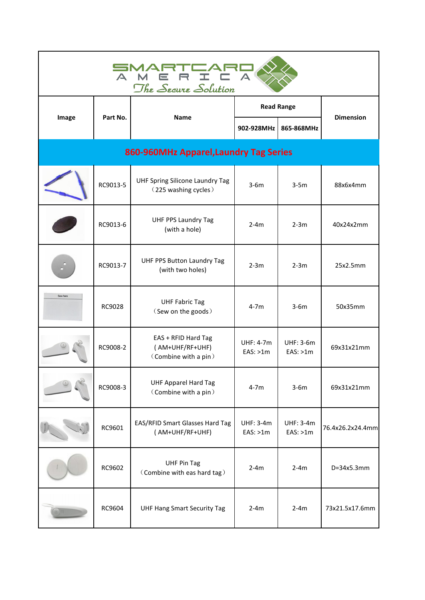| SMAR<br>TCAR<br>$\triangle$<br>$\triangle$<br>The Secure Solution |          |                                                                |                              |                             |                  |  |  |
|-------------------------------------------------------------------|----------|----------------------------------------------------------------|------------------------------|-----------------------------|------------------|--|--|
|                                                                   | Part No. | Name                                                           |                              | <b>Read Range</b>           | <b>Dimension</b> |  |  |
| Image                                                             |          |                                                                | 902-928MHz                   | 865-868MHz                  |                  |  |  |
| 860-960MHz Apparel, Laundry Tag Series                            |          |                                                                |                              |                             |                  |  |  |
|                                                                   | RC9013-5 | UHF Spring Silicone Laundry Tag<br>(225 washing cycles)        | $3-6m$                       | $3-5m$                      | 88x6x4mm         |  |  |
|                                                                   | RC9013-6 | <b>UHF PPS Laundry Tag</b><br>(with a hole)                    | $2-4m$                       | $2-3m$                      | 40x24x2mm        |  |  |
|                                                                   | RC9013-7 | UHF PPS Button Laundry Tag<br>(with two holes)                 | $2-3m$                       | $2-3m$                      | 25x2.5mm         |  |  |
| Sew here                                                          | RC9028   | <b>UHF Fabric Tag</b><br>(Sew on the goods)                    | $4-7m$                       | $3-6m$                      | 50x35mm          |  |  |
|                                                                   | RC9008-2 | EAS + RFID Hard Tag<br>(AM+UHF/RF+UHF)<br>(Combine with a pin) | UHF: 4-7m<br>EAS: >1m        | <b>UHF: 3-6m</b><br>EAS:>1m | 69x31x21mm       |  |  |
|                                                                   | RC9008-3 | <b>UHF Apparel Hard Tag</b><br>(Combine with a pin)            | $4-7m$                       | $3-6m$                      | 69x31x21mm       |  |  |
|                                                                   | RC9601   | EAS/RFID Smart Glasses Hard Tag<br>(AM+UHF/RF+UHF)             | <b>UHF: 3-4m</b><br>EAS: >1m | <b>UHF: 3-4m</b><br>EAS:>1m | 76.4x26.2x24.4mm |  |  |
|                                                                   | RC9602   | <b>UHF Pin Tag</b><br>(Combine with eas hard tag)              | $2-4m$                       | $2-4m$                      | D=34x5.3mm       |  |  |
|                                                                   | RC9604   | <b>UHF Hang Smart Security Tag</b>                             | $2-4m$                       | $2-4m$                      | 73x21.5x17.6mm   |  |  |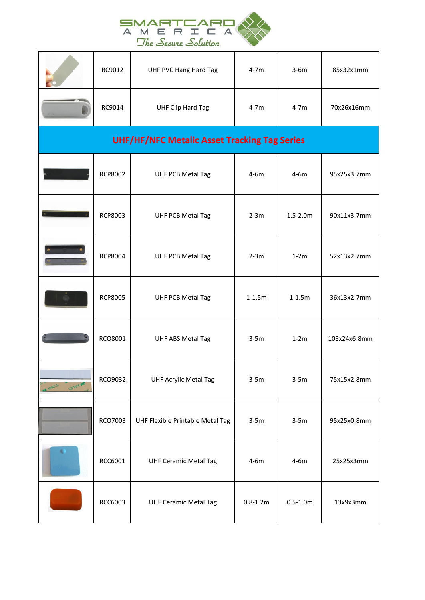

|                                                     | $\triangle$ | R<br>M<br>$\equiv$<br>The Secure Solution |              |              |              |  |  |
|-----------------------------------------------------|-------------|-------------------------------------------|--------------|--------------|--------------|--|--|
|                                                     | RC9012      | UHF PVC Hang Hard Tag                     | $4-7m$       | $3-6m$       | 85x32x1mm    |  |  |
|                                                     | RC9014      | <b>UHF Clip Hard Tag</b>                  | $4-7m$       | $4-7m$       | 70x26x16mm   |  |  |
| <b>UHF/HF/NFC Metalic Asset Tracking Tag Series</b> |             |                                           |              |              |              |  |  |
|                                                     | RCP8002     | <b>UHF PCB Metal Tag</b>                  | $4-6m$       | $4-6m$       | 95x25x3.7mm  |  |  |
|                                                     | RCP8003     | <b>UHF PCB Metal Tag</b>                  | $2-3m$       | $1.5 - 2.0m$ | 90x11x3.7mm  |  |  |
|                                                     | RCP8004     | <b>UHF PCB Metal Tag</b>                  | $2-3m$       | $1-2m$       | 52x13x2.7mm  |  |  |
|                                                     | RCP8005     | <b>UHF PCB Metal Tag</b>                  | $1 - 1.5m$   | $1-1.5m$     | 36x13x2.7mm  |  |  |
|                                                     | RCO8001     | UHF ABS Metal Tag                         | $3-5m$       | $1-2m$       | 103x24x6.8mm |  |  |
| ES TOOS M<br><b>M 300LSE</b>                        | RCO9032     | <b>UHF Acrylic Metal Tag</b>              | $3-5m$       | $3-5m$       | 75x15x2.8mm  |  |  |
|                                                     | RCO7003     | UHF Flexible Printable Metal Tag          | $3-5m$       | $3-5m$       | 95x25x0.8mm  |  |  |
|                                                     | RCC6001     | <b>UHF Ceramic Metal Tag</b>              | $4-6m$       | $4-6m$       | 25x25x3mm    |  |  |
|                                                     | RCC6003     | <b>UHF Ceramic Metal Tag</b>              | $0.8 - 1.2m$ | $0.5 - 1.0m$ | 13x9x3mm     |  |  |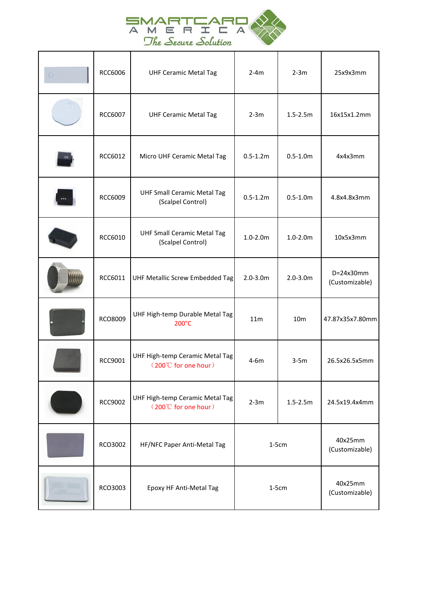

|         |         | SMARTCAR<br>$\forall$                                   |              |                 |                               |
|---------|---------|---------------------------------------------------------|--------------|-----------------|-------------------------------|
|         |         | The Secure Solution                                     |              |                 |                               |
| $\odot$ | RCC6006 | <b>UHF Ceramic Metal Tag</b>                            | $2-4m$       | $2-3m$          | 25x9x3mm                      |
|         | RCC6007 | <b>UHF Ceramic Metal Tag</b>                            | $2-3m$       | $1.5 - 2.5m$    | 16x15x1.2mm                   |
|         | RCC6012 | Micro UHF Ceramic Metal Tag                             | $0.5 - 1.2m$ | $0.5 - 1.0m$    | 4x4x3mm                       |
|         | RCC6009 | <b>UHF Small Ceramic Metal Tag</b><br>(Scalpel Control) | $0.5 - 1.2m$ | $0.5 - 1.0m$    | 4.8x4.8x3mm                   |
|         | RCC6010 | <b>UHF Small Ceramic Metal Tag</b><br>(Scalpel Control) | $1.0 - 2.0m$ | $1.0 - 2.0m$    | 10x5x3mm                      |
|         | RCC6011 | UHF Metallic Screw Embedded Tag                         | $2.0 - 3.0m$ | $2.0 - 3.0m$    | $D=24x30mm$<br>(Customizable) |
|         | RCO8009 | UHF High-temp Durable Metal Tag<br>200°C                | 11m          | 10 <sub>m</sub> | 47.87x35x7.80mm               |
|         | RCC9001 | UHF High-temp Ceramic Metal Tag<br>(200°C for one hour) | $4-6m$       | $3-5m$          | 26.5x26.5x5mm                 |
|         | RCC9002 | UHF High-temp Ceramic Metal Tag<br>(200°C for one hour) | $2-3m$       | $1.5 - 2.5m$    | 24.5x19.4x4mm                 |
|         | RCO3002 | HF/NFC Paper Anti-Metal Tag                             | $1-5cm$      |                 | 40x25mm<br>(Customizable)     |
|         | RCO3003 | Epoxy HF Anti-Metal Tag                                 | $1-5cm$      |                 | 40x25mm<br>(Customizable)     |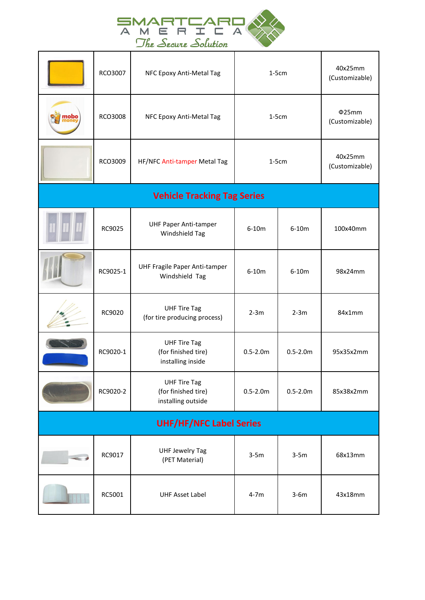

|      | $\blacktriangle$ |                                                                  |              |              |                           |
|------|------------------|------------------------------------------------------------------|--------------|--------------|---------------------------|
|      |                  | The Secure Solution                                              |              |              |                           |
|      | RCO3007          | NFC Epoxy Anti-Metal Tag                                         | $1-5cm$      |              | 40x25mm<br>(Customizable) |
| mobo | RCO3008          | NFC Epoxy Anti-Metal Tag                                         | $1-5cm$      |              | Φ25mm<br>(Customizable)   |
|      | RCO3009          | HF/NFC Anti-tamper Metal Tag                                     | $1-5cm$      |              | 40x25mm<br>(Customizable) |
|      |                  | <b>Vehicle Tracking Tag Series</b>                               |              |              |                           |
|      | RC9025           | <b>UHF Paper Anti-tamper</b><br>Windshield Tag                   | $6-10m$      | $6-10m$      | 100x40mm                  |
|      | RC9025-1         | UHF Fragile Paper Anti-tamper<br>Windshield Tag                  | $6-10m$      | $6-10m$      | 98x24mm                   |
|      | RC9020           | <b>UHF Tire Tag</b><br>(for tire producing process)              | $2-3m$       | $2-3m$       | 84x1mm                    |
|      | RC9020-1         | <b>UHF Tire Tag</b><br>(for finished tire)<br>installing inside  | $0.5 - 2.0m$ | $0.5 - 2.0m$ | 95x35x2mm                 |
|      | RC9020-2         | <b>UHF Tire Tag</b><br>(for finished tire)<br>installing outside | $0.5 - 2.0m$ | $0.5 - 2.0m$ | 85x38x2mm                 |
|      |                  | <b>UHF/HF/NFC Label Series</b>                                   |              |              |                           |
| an d | RC9017           | <b>UHF Jewelry Tag</b><br>(PET Material)                         | $3-5m$       | $3-5m$       | 68x13mm                   |
|      | RC5001           | <b>UHF Asset Label</b>                                           | $4-7m$       | $3-6m$       | 43x18mm                   |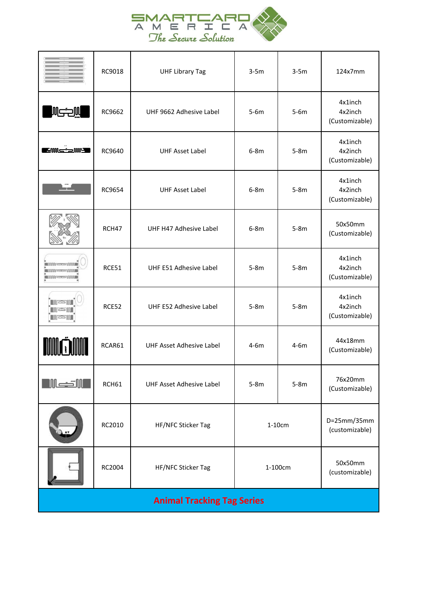

| SMA<br>TA<br>M<br>$\Box$<br>$\triangle$<br>$\equiv$<br>The Secure Solution                    |        |                                 |         |        |                                      |  |  |
|-----------------------------------------------------------------------------------------------|--------|---------------------------------|---------|--------|--------------------------------------|--|--|
|                                                                                               | RC9018 | <b>UHF Library Tag</b>          | $3-5m$  | $3-5m$ | 124x7mm                              |  |  |
| WICOW                                                                                         | RC9662 | UHF 9662 Adhesive Label         | $5-6m$  | $5-6m$ | 4x1inch<br>4x2inch<br>(Customizable) |  |  |
| <b>E</b> ENNS SAMPLE                                                                          | RC9640 | <b>UHF Asset Label</b>          | $6-8m$  | $5-8m$ | 4x1inch<br>4x2inch<br>(Customizable) |  |  |
| n y m                                                                                         | RC9654 | <b>UHF Asset Label</b>          | $6-8m$  | $5-8m$ | 4x1inch<br>4x2inch<br>(Customizable) |  |  |
|                                                                                               | RCH47  | UHF H47 Adhesive Label          | $6-8m$  | $5-8m$ | 50x50mm<br>(Customizable)            |  |  |
| <b>ENVIRONMENT AND INTERNATIONAL PROPERTY</b><br><b>IMMIGRAPHIQUE</b><br><b>EMMI-REDUMINE</b> | RCE51  | UHF E51 Adhesive Label          | $5-8m$  | $5-8m$ | 4x1inch<br>4x2inch<br>(Customizable) |  |  |
| <b>NGSNI</b><br>igail<br>IGSIN                                                                | RCE52  | UHF E52 Adhesive Label          | $5-8m$  | $5-8m$ | 4x1inch<br>4x2inch<br>(Customizable) |  |  |
| <b>MUĞMM</b>                                                                                  | RCAR61 | <b>UHF Asset Adhesive Label</b> | $4-6m$  | $4-6m$ | 44x18mm<br>(Customizable)            |  |  |
| <b>Mexicall</b>                                                                               | RCH61  | <b>UHF Asset Adhesive Label</b> | $5-8m$  | $5-8m$ | 76x20mm<br>(Customizable)            |  |  |
|                                                                                               | RC2010 | HF/NFC Sticker Tag              | 1-10cm  |        | D=25mm/35mm<br>(customizable)        |  |  |
|                                                                                               | RC2004 | HF/NFC Sticker Tag              | 1-100cm |        | 50x50mm<br>(customizable)            |  |  |
| <b>Animal Tracking Tag Series</b>                                                             |        |                                 |         |        |                                      |  |  |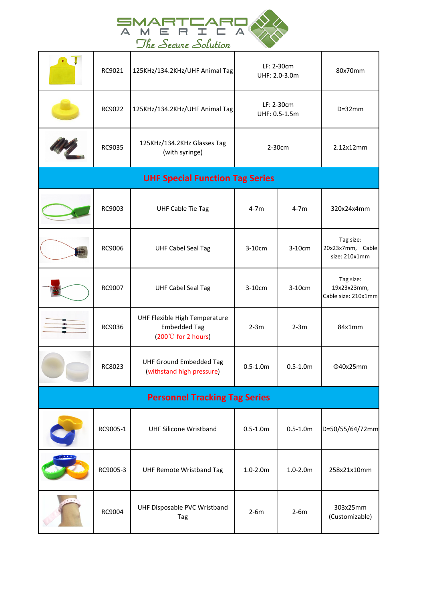

|     |          | SMARTCAR<br>A M<br>The Secure Solution                                               |                             |              |                                                 |
|-----|----------|--------------------------------------------------------------------------------------|-----------------------------|--------------|-------------------------------------------------|
|     | RC9021   | 125KHz/134.2KHz/UHF Animal Tag                                                       | LF: 2-30cm<br>UHF: 2.0-3.0m |              | 80x70mm                                         |
|     | RC9022   | 125KHz/134.2KHz/UHF Animal Tag                                                       | LF: 2-30cm<br>UHF: 0.5-1.5m |              | $D=32mm$                                        |
|     | RC9035   | 125KHz/134.2KHz Glasses Tag<br>(with syringe)                                        | 2-30cm                      |              | 2.12x12mm                                       |
|     |          | <b>UHF Special Function Tag Series</b>                                               |                             |              |                                                 |
|     | RC9003   | <b>UHF Cable Tie Tag</b>                                                             | $4-7m$                      | $4-7m$       | 320x24x4mm                                      |
| i i | RC9006   | <b>UHF Cabel Seal Tag</b>                                                            | 3-10cm                      | 3-10cm       | Tag size:<br>20x23x7mm, Cable<br>size: 210x1mm  |
|     | RC9007   | <b>UHF Cabel Seal Tag</b>                                                            | 3-10cm                      | 3-10cm       | Tag size:<br>19x23x23mm,<br>Cable size: 210x1mm |
|     | RC9036   | UHF Flexible High Temperature<br><b>Embedded Tag</b><br>$(200^{\circ}C$ for 2 hours) | $2-3m$                      | $2-3m$       | 84x1mm                                          |
|     | RC8023   | <b>UHF Ground Embedded Tag</b><br>(withstand high pressure)                          | $0.5 - 1.0m$                | $0.5 - 1.0m$ | Φ40x25mm                                        |
|     |          | <b>Personnel Tracking Tag Series</b>                                                 |                             |              |                                                 |
|     | RC9005-1 | <b>UHF Silicone Wristband</b>                                                        | $0.5 - 1.0m$                | $0.5 - 1.0m$ | D=50/55/64/72mm                                 |
|     | RC9005-3 | UHF Remote Wristband Tag                                                             | $1.0 - 2.0m$                | $1.0 - 2.0m$ | 258x21x10mm                                     |
|     | RC9004   | UHF Disposable PVC Wristband<br>Tag                                                  | $2-6m$                      | $2-6m$       | 303x25mm<br>(Customizable)                      |